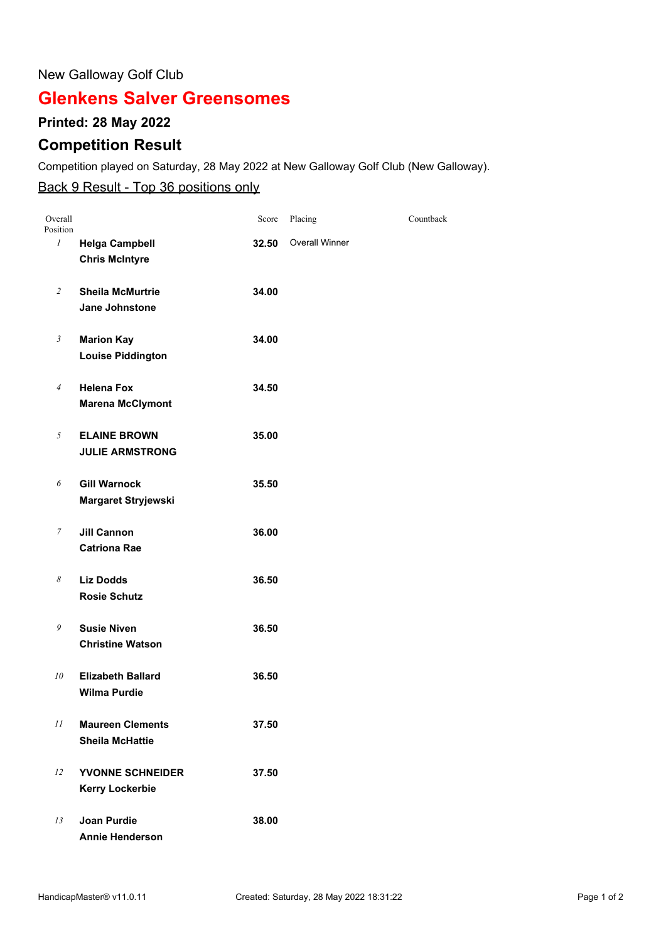#### New Galloway Golf Club

# **Glenkens Salver Greensomes**

### **Printed: 28 May 2022**

## **Competition Result**

Competition played on Saturday, 28 May 2022 at New Galloway Golf Club (New Galloway).

### Back 9 Result - Top 36 positions only

| Overall<br>Position |                                                   | Score | Placing               | Countback |
|---------------------|---------------------------------------------------|-------|-----------------------|-----------|
| 1                   | <b>Helga Campbell</b><br><b>Chris McIntyre</b>    | 32.50 | <b>Overall Winner</b> |           |
| $\overline{2}$      | <b>Sheila McMurtrie</b><br><b>Jane Johnstone</b>  | 34.00 |                       |           |
| $\mathfrak{Z}$      | <b>Marion Kay</b><br><b>Louise Piddington</b>     | 34.00 |                       |           |
| $\overline{4}$      | <b>Helena Fox</b><br><b>Marena McClymont</b>      | 34.50 |                       |           |
| 5                   | <b>ELAINE BROWN</b><br><b>JULIE ARMSTRONG</b>     | 35.00 |                       |           |
| 6                   | <b>Gill Warnock</b><br>Margaret Stryjewski        | 35.50 |                       |           |
| 7                   | <b>Jill Cannon</b><br><b>Catriona Rae</b>         | 36.00 |                       |           |
| 8                   | <b>Liz Dodds</b><br><b>Rosie Schutz</b>           | 36.50 |                       |           |
| 9                   | <b>Susie Niven</b><br><b>Christine Watson</b>     | 36.50 |                       |           |
| 10                  | <b>Elizabeth Ballard</b><br><b>Wilma Purdie</b>   | 36.50 |                       |           |
| $\cal II$           | <b>Maureen Clements</b><br><b>Sheila McHattie</b> | 37.50 |                       |           |
| 12                  | YVONNE SCHNEIDER<br><b>Kerry Lockerbie</b>        | 37.50 |                       |           |
| 13                  | <b>Joan Purdie</b><br><b>Annie Henderson</b>      | 38.00 |                       |           |